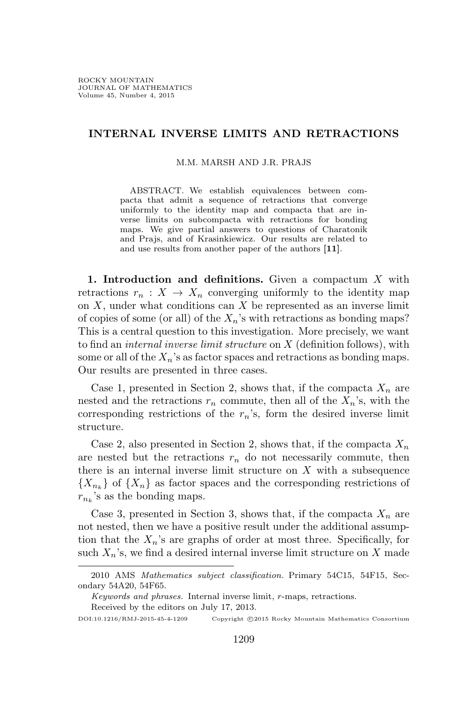## **INTERNAL INVERSE LIMITS AND RETRACTIONS**

M.M. MARSH AND J.R. PRAJS

ABSTRACT. We establish equivalences between compacta that admit a sequence of retractions that converge uniformly to the identity map and compacta that are inverse limits on subcompacta with retractions for bonding maps. We give partial answers to questions of Charatonik and Prajs, and of Krasinkiewicz. Our results are related to and use results from another paper of the authors **[11]**.

**1. Introduction and definitions.** Given a compactum *X* with retractions  $r_n: X \to X_n$  converging uniformly to the identity map on *X*, under what conditions can *X* be represented as an inverse limit of copies of some (or all) of the  $X_n$ 's with retractions as bonding maps? This is a central question to this investigation. More precisely, we want to find an *internal inverse limit structure* on *X* (definition follows), with some or all of the *Xn*'s as factor spaces and retractions as bonding maps. Our results are presented in three cases.

Case 1, presented in Section 2, shows that, if the compacta  $X_n$  are nested and the retractions  $r_n$  commute, then all of the  $X_n$ 's, with the corresponding restrictions of the *rn*'s, form the desired inverse limit structure.

Case 2, also presented in Section 2, shows that, if the compacta  $X_n$ are nested but the retractions  $r_n$  do not necessarily commute, then there is an internal inverse limit structure on *X* with a subsequence *{X<sup>n</sup><sup>k</sup> }* of *{Xn}* as factor spaces and the corresponding restrictions of  $r_{n_k}$ 's as the bonding maps.

Case 3, presented in Section 3, shows that, if the compacta  $X_n$  are not nested, then we have a positive result under the additional assumption that the  $X_n$ 's are graphs of order at most three. Specifically, for such  $X_n$ 's, we find a desired internal inverse limit structure on  $X$  made

<sup>2010</sup> AMS *Mathematics subject classification.* Primary 54C15, 54F15, Secondary 54A20, 54F65.

*Keywords and phrases.* Internal inverse limit, *r*-maps, retractions.

Received by the editors on July 17, 2013.

DOI:10.1216/RMJ-2015-45-4-1209 Copyright *©*2015 Rocky Mountain Mathematics Consortium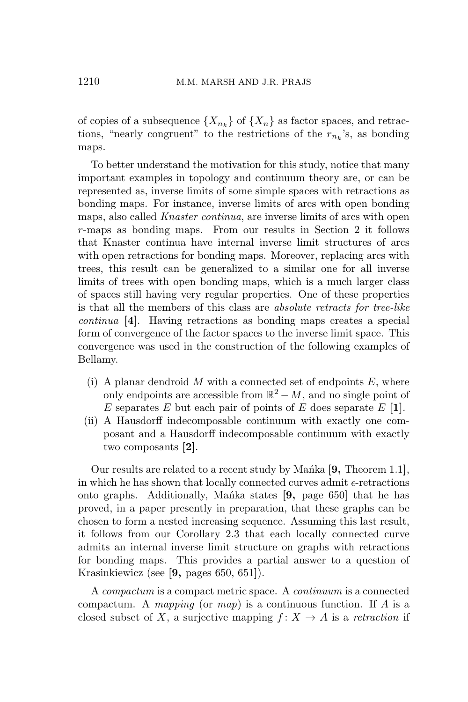of copies of a subsequence  $\{X_{n_k}\}$  of  $\{X_n\}$  as factor spaces, and retractions, "nearly congruent" to the restrictions of the  $r_{n_k}$ 's, as bonding maps.

To better understand the motivation for this study, notice that many important examples in topology and continuum theory are, or can be represented as, inverse limits of some simple spaces with retractions as bonding maps. For instance, inverse limits of arcs with open bonding maps, also called *Knaster continua*, are inverse limits of arcs with open *r*-maps as bonding maps. From our results in Section 2 it follows that Knaster continua have internal inverse limit structures of arcs with open retractions for bonding maps. Moreover, replacing arcs with trees, this result can be generalized to a similar one for all inverse limits of trees with open bonding maps, which is a much larger class of spaces still having very regular properties. One of these properties is that all the members of this class are *absolute retracts for tree-like continua* **[4]**. Having retractions as bonding maps creates a special form of convergence of the factor spaces to the inverse limit space. This convergence was used in the construction of the following examples of Bellamy.

- (i) A planar dendroid *M* with a connected set of endpoints *E*, where only endpoints are accessible from  $\mathbb{R}^2 - M$ , and no single point of *E* separates *E* but each pair of points of *E* does separate *E* **[1]**.
- (ii) A Hausdorff indecomposable continuum with exactly one composant and a Hausdorff indecomposable continuum with exactly two composants **[2]**.

Our results are related to a recent study by Manka [9, Theorem 1.1], in which he has shown that locally connected curves admit  $\epsilon$ -retractions onto graphs. Additionally, Manka states [9, page 650] that he has proved, in a paper presently in preparation, that these graphs can be chosen to form a nested increasing sequence. Assuming this last result, it follows from our Corollary 2.3 that each locally connected curve admits an internal inverse limit structure on graphs with retractions for bonding maps. This provides a partial answer to a question of Krasinkiewicz (see **[9,** pages 650, 651**]**).

A *compactum* is a compact metric space. A *continuum* is a connected compactum. A *mapping* (or *map*) is a continuous function. If *A* is a closed subset of *X*, a surjective mapping  $f: X \to A$  is a *retraction* if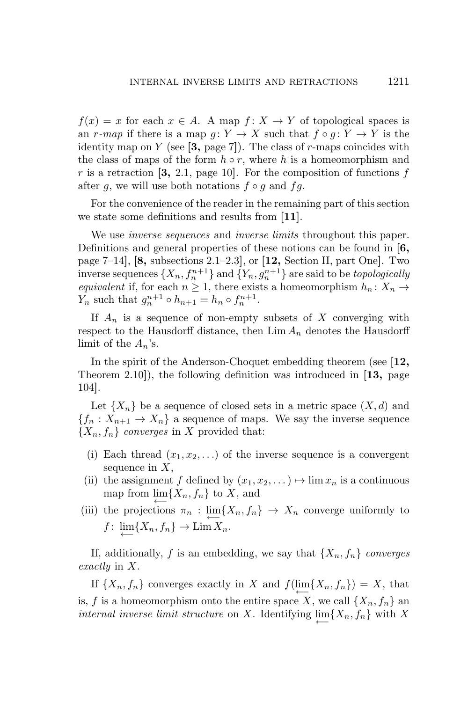$f(x) = x$  for each  $x \in A$ . A map  $f: X \to Y$  of topological spaces is an *r-map* if there is a map  $g: Y \to X$  such that  $f \circ g: Y \to Y$  is the identity map on *Y* (see **[3,** page 7**]**). The class of *r*-maps coincides with the class of maps of the form  $h \circ r$ , where  $h$  is a homeomorphism and  $r$  is a retraction  $[3, 2.1, \text{page 10}]$ . For the composition of functions  $f$ after *g*, we will use both notations  $f \circ g$  and  $fg$ .

For the convenience of the reader in the remaining part of this section we state some definitions and results from **[11]**.

We use *inverse sequences* and *inverse limits* throughout this paper. Definitions and general properties of these notions can be found in **[6,** page 7–14**]**, **[8,** subsections 2.1–2.3**]**, or **[12,** Section II, part One**]**. Two inverse sequences  $\{X_n, f_n^{n+1}\}$  and  $\{Y_n, g_n^{n+1}\}$  are said to be *topologically equivalent* if, for each  $n \geq 1$ , there exists a homeomorphism  $h_n: X_n \to$ *Y<sub>n</sub>* such that  $g_n^{n+1} \circ h_{n+1} = h_n \circ f_n^{n+1}$ .

If *A<sup>n</sup>* is a sequence of non-empty subsets of *X* converging with respect to the Hausdorff distance, then  $\lim A_n$  denotes the Hausdorff limit of the  $A_n$ 's.

In the spirit of the Anderson-Choquet embedding theorem (see **[12,** Theorem 2.10**]**), the following definition was introduced in **[13,** page 104**]**.

Let  $\{X_n\}$  be a sequence of closed sets in a metric space  $(X, d)$  and  ${f_n : X_{n+1} \to X_n}$  a sequence of maps. We say the inverse sequence  ${X_n, f_n}$  *converges* in *X* provided that:

- (i) Each thread  $(x_1, x_2, \ldots)$  of the inverse sequence is a convergent sequence in *X*,
- (ii) the assignment *f* defined by  $(x_1, x_2, \dots) \mapsto \lim x_n$  is a continuous map from  $\lim\{X_n, f_n\}$  to X, and
- (iii) the projections  $\pi_n$  :  $\lim_{n \to \infty} \{X_n, f_n\} \to X_n$  converge uniformly to  $f: \lim\{X_n, f_n\} \to \lim X_n.$ *←−*

If, additionally, *f* is an embedding, we say that  $\{X_n, f_n\}$  *converges exactly* in *X*.

If  $\{X_n, f_n\}$  converges exactly in *X* and  $f(\underleftarrow{\lim}_{L} \{X_n, f_n\}) = X$ , that is, *f* is a homeomorphism onto the entire space *X*, we call  $\{X_n, f_n\}$  and *internal inverse limit structure* on *X*. Identifying  $\lim\{X_n, f_n\}$  with *X* 

*←−*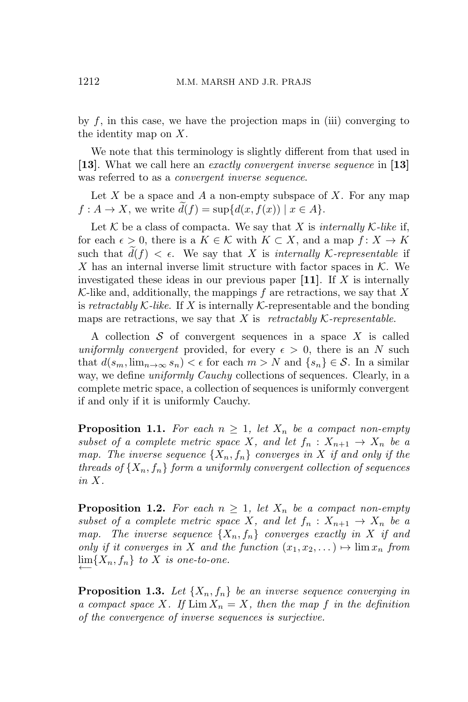by  $f$ , in this case, we have the projection maps in (iii) converging to the identity map on *X*.

We note that this terminology is slightly different from that used in **[13]**. What we call here an *exactly convergent inverse sequence* in **[13]** was referred to as a *convergent inverse sequence*.

Let *X* be a space and *A* a non-empty subspace of *X*. For any map  $f: A \to X$ , we write  $d(f) = \sup \{d(x, f(x)) \mid x \in A\}.$ 

Let  $K$  be a class of compacta. We say that X is *internally*  $K$ *-like* if, for each  $\epsilon > 0$ , there is a  $K \in \mathcal{K}$  with  $K \subset X$ , and a map  $f: X \to K$ such that  $d(f) < \epsilon$ . We say that *X* is *internally K*-representable if *X* has an internal inverse limit structure with factor spaces in *K*. We investigated these ideas in our previous paper **[11]**. If *X* is internally *K*-like and, additionally, the mappings *f* are retractions, we say that *X* is *retractably*  $K$ -like. If X is internally  $K$ -representable and the bonding maps are retractions, we say that  $X$  is *retractably*  $K$ *-representable.* 

A collection *S* of convergent sequences in a space *X* is called *uniformly convergent* provided, for every  $\epsilon > 0$ , there is an *N* such that  $d(s_m, \lim_{n \to \infty} s_n) < \epsilon$  for each  $m > N$  and  $\{s_n\} \in \mathcal{S}$ . In a similar way, we define *uniformly Cauchy* collections of sequences. Clearly, in a complete metric space, a collection of sequences is uniformly convergent if and only if it is uniformly Cauchy.

**Proposition 1.1.** For each  $n \geq 1$ , let  $X_n$  be a compact non-empty *subset of a complete metric space X, and let*  $f_n: X_{n+1} \to X_n$  *be a map. The inverse sequence*  $\{X_n, f_n\}$  *converges in* X *if and only if the threads of*  $\{X_n, f_n\}$  *form a uniformly convergent collection of sequences in X.*

**Proposition 1.2.** For each  $n \geq 1$ , let  $X_n$  be a compact non-empty *subset of a complete metric space X, and let*  $f_n: X_{n+1} \to X_n$  *be a map.* The inverse sequence  $\{X_n, f_n\}$  converges exactly in X if and *only if it converges in X and the function*  $(x_1, x_2, \dots) \mapsto \lim x_n$  *from*  $\lim\{X_n, f_n\}$  *to X is one-to-one.* 

**Proposition 1.3.** Let  $\{X_n, f_n\}$  be an inverse sequence converging in *a compact space X.* If  $\lim X_n = X$ *, then the map f in the definition of the convergence of inverse sequences is surjective.*

*←−*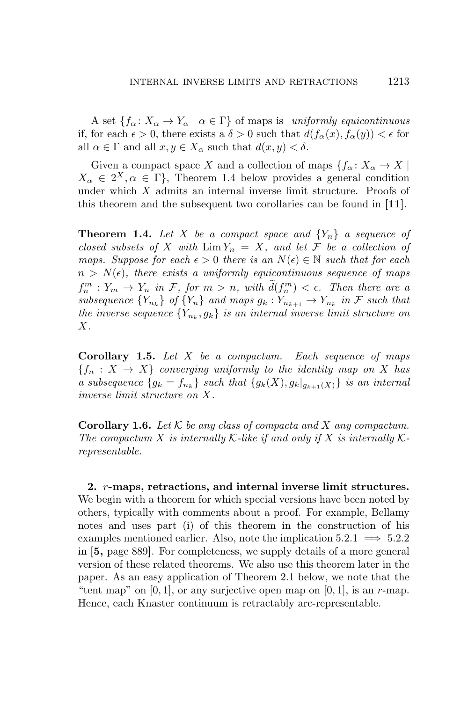A set  ${f_{\alpha}: X_{\alpha} \to Y_{\alpha} \mid \alpha \in \Gamma}$  of maps is *uniformly equicontinuous* if, for each  $\epsilon > 0$ , there exists a  $\delta > 0$  such that  $d(f_\alpha(x), f_\alpha(y)) < \epsilon$  for all  $\alpha \in \Gamma$  and all  $x, y \in X_\alpha$  such that  $d(x, y) < \delta$ .

Given a compact space *X* and a collection of maps  ${f_a: X_a \to X}$  $X_{\alpha} \in 2^X, \alpha \in \Gamma$ , Theorem 1.4 below provides a general condition under which *X* admits an internal inverse limit structure. Proofs of this theorem and the subsequent two corollaries can be found in **[11]**.

**Theorem 1.4.** Let X be a compact space and  ${Y_n}$  a sequence of *closed subsets of*  $X$  *with*  $\lim Y_n = X$ *, and let*  $\mathcal F$  *be a collection of maps. Suppose for each*  $\epsilon > 0$  *there is an*  $N(\epsilon) \in \mathbb{N}$  *such that for each*  $n > N(\epsilon)$ , there exists a uniformly equicontinuous sequence of maps  $f_n^m: Y_m \to Y_n$  *in*  $\mathcal{F},$  *for*  $m > n$ *, with*  $d(f_n^m) < \epsilon$ *. Then there are a* subsequence  ${Y_{n_k}}$  of  ${Y_n}$  and maps  $g_k: Y_{n_{k+1}} \to Y_{n_k}$  in F such that *the inverse sequence*  ${Y_{n_k}, g_k}$  *is an internal inverse limit structure on X.*

**Corollary 1.5.** *Let X be a compactum. Each sequence of maps*  ${f_n : X \to X}$  *converging uniformly to the identity map on X has a subsequence*  ${g_k = f_{n_k}}$  *such that*  ${g_k(X), g_k|_{g_{k+1}(X)}}$  *is an internal inverse limit structure on X.*

**Corollary 1.6.** *Let K be any class of compacta and X any compactum. The compactum*  $X$  *is internally*  $K$ -like if and only if  $X$  is internally  $K$ *representable.*

**2.** *r***-maps, retractions, and internal inverse limit structures.** We begin with a theorem for which special versions have been noted by others, typically with comments about a proof. For example, Bellamy notes and uses part (i) of this theorem in the construction of his examples mentioned earlier. Also, note the implication  $5.2.1 \implies 5.2.2$ in **[5,** page 889**]**. For completeness, we supply details of a more general version of these related theorems. We also use this theorem later in the paper. As an easy application of Theorem 2.1 below, we note that the "tent map" on  $[0, 1]$ , or any surjective open map on  $[0, 1]$ , is an *r*-map. Hence, each Knaster continuum is retractably arc-representable.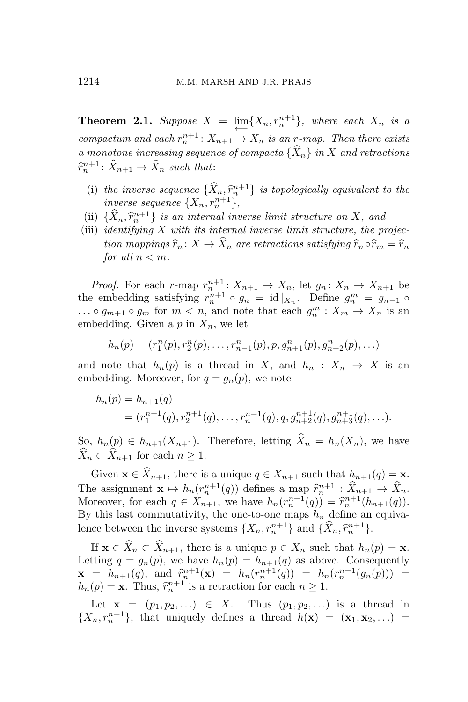**Theorem 2.1.** *Suppose*  $X = \lim_{n \to \infty} \{X_n, r_n^{n+1}\}$ , where each  $X_n$  is a  $\overleftarrow{c}$  *compactum and each*  $r_n^{n+1}$ :  $X_{n+1} \to X_n$  *is an r-map. Then there exists a* monotone increasing sequence of compacta  ${\{\hat{X}_n\}}$  in X and retractions  $\hat{r}_n^{n+1}$ :  $\hat{X}_{n+1} \to \hat{X}_n$  *such that*:

- (i) the inverse sequence  $\{\hat{X}_n, \hat{r}_n^{n+1}\}$  is topologically equivalent to the *inverse sequence*  $\{X_n, r_n^{n+1}\},\$
- (ii)  $\{\hat{X}_n, \hat{r}_n^{n+1}\}$  *is an internal inverse limit structure on*  $X$ *, and*<br> $\ldots$  *i.e., i.e.,*  $\ldots$  *x with its internal inverse limit structure* the way
- (iii) *identifying X with its internal inverse limit structure, the projection mappings*  $\hat{r}_n : X \to \hat{X}_n$  *are retractions satisfying*  $\hat{r}_n \circ \hat{r}_m = \hat{r}_n$ *for all*  $n < m$ *.*

*Proof.* For each *r*-map  $r_n^{n+1}$ :  $X_{n+1} \to X_n$ , let  $g_n: X_n \to X_{n+1}$  be the embedding satisfying  $r_n^{n+1} \circ g_n = \text{id}|_{X_n}$ . Define  $g_n^m = g_{n-1} \circ$  $\ldots \circ g_{m+1} \circ g_m$  for  $m < n$ , and note that each  $g_n^m : X_m \to X_n$  is an embedding. Given a  $p$  in  $X_n$ , we let

$$
h_n(p) = (r_1^n(p), r_2^n(p), \dots, r_{n-1}^n(p), p, g_{n+1}^n(p), g_{n+2}^n(p), \dots)
$$

and note that  $h_n(p)$  is a thread in X, and  $h_n: X_n \to X$  is an embedding. Moreover, for  $q = g_n(p)$ , we note

$$
h_n(p) = h_{n+1}(q)
$$
  
=  $(r_1^{n+1}(q), r_2^{n+1}(q), \dots, r_n^{n+1}(q), q, g_{n+2}^{n+1}(q), g_{n+3}^{n+1}(q), \dots).$ 

So,  $h_n(p) \in h_{n+1}(X_{n+1})$ . Therefore, letting  $\widehat{X}_n = h_n(X_n)$ , we have  $\hat{X}_n \subset \hat{X}_{n+1}$  for each  $n \geq 1$ .

Given  $\mathbf{x} \in \widehat{X}_{n+1}$ , there is a unique  $q \in X_{n+1}$  such that  $h_{n+1}(q) = \mathbf{x}$ . The assignment  $\mathbf{x} \mapsto h_n(r_n^{n+1}(q))$  defines a map  $\hat{r}_n^{n+1} : \hat{X}_{n+1} \to \hat{X}_n$ .<br>Mensenger for and  $\mathbf{x} \in \mathbf{X}$  and here  $h_n(r_n^{n+1}(q))$  and  $\hat{z}_{n+1}(t_n^{n+1}(q))$ Moreover, for each  $q \in X_{n+1}$ , we have  $h_n(r_n^{n+1}(q)) = \hat{r}_n^{n+1}(h_{n+1}(q))$ . By this last commutativity, the one-to-one maps  $h_n$  define an equivalence between the inverse systems  $\{X_n, r_n^{n+1}\}$  and  $\{\hat{X}_n, \hat{r}_n^{n+1}\}.$ 

If  $\mathbf{x} \in \widehat{X}_n \subset \widehat{X}_{n+1}$ , there is a unique  $p \in X_n$  such that  $h_n(p) = \mathbf{x}$ . Letting  $q = g_n(p)$ , we have  $h_n(p) = h_{n+1}(q)$  as above. Consequently  $\mathbf{x} = h_{n+1}(q)$ , and  $\hat{r}_n^{n+1}(\mathbf{x}) = h_n(r_n^{n+1}(q)) = h_n(r_n^{n+1}(g_n(p))) =$  $h_n(p) = \mathbf{x}$ . Thus,  $\hat{r}_n^{n+1}$  is a retraction for each  $n \geq 1$ .

Let  $f{x} = (p_1, p_2, ...) \in X$ . Thus  $(p_1, p_2, ...)$  is a thread in  ${X_n, r_n^{n+1}}$ , that uniquely defines a thread  $h(\mathbf{x}) = (\mathbf{x}_1, \mathbf{x}_2, \ldots)$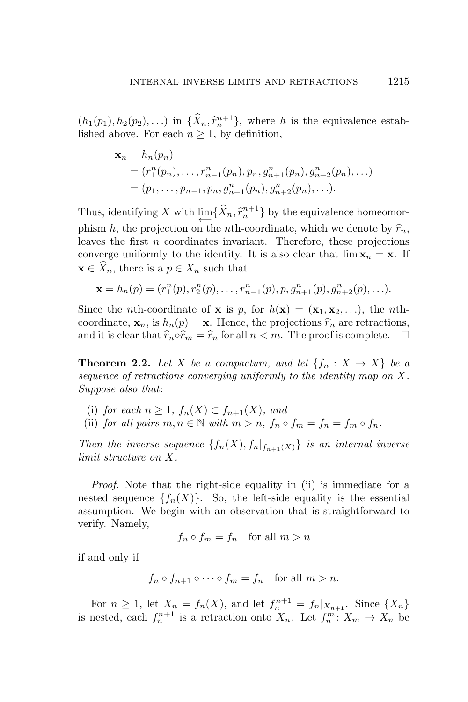$(h_1(p_1), h_2(p_2), \ldots)$  in  $\{\hat{X}_n, \hat{r}_n^{n+1}\}\$ , where *h* is the equivalence established above. For each  $n \geq 1$ , by definition,

$$
\mathbf{x}_n = h_n(p_n)
$$
  
=  $(r_1^n(p_n), \dots, r_{n-1}^n(p_n), p_n, g_{n+1}^n(p_n), g_{n+2}^n(p_n), \dots)$   
=  $(p_1, \dots, p_{n-1}, p_n, g_{n+1}^n(p_n), g_{n+2}^n(p_n), \dots).$ 

Thus, identifying *X* with  $\lim_{n \to \infty} {\hat{X}_n, \hat{r}_n^{n+1}}$  by the equivalence homeomorphism *h*, the projection on the *n*th-coordinate, which we denote by  $\hat{r}_n$ , leaves the first *n* coordinates invariant. Therefore, these projections converge uniformly to the identity. It is also clear that  $\lim x_n = x$ . If  $\mathbf{x} \in \overline{X}_n$ , there is a  $p \in X_n$  such that

$$
\mathbf{x} = h_n(p) = (r_1^n(p), r_2^n(p), \dots, r_{n-1}^n(p), p, g_{n+1}^n(p), g_{n+2}^n(p), \dots).
$$

Since the *n*th-coordinate of **x** is *p*, for  $h(\mathbf{x}) = (\mathbf{x}_1, \mathbf{x}_2, \ldots)$ , the *n*thcoordinate,  $\mathbf{x}_n$ , is  $h_n(p) = \mathbf{x}$ . Hence, the projections  $\hat{r}_n$  are retractions, and it is clear that  $\hat{r}_n \circ \hat{r}_m = \hat{r}_n$  for all  $n < m$ . The proof is complete.  $\Box$ and it is clear that  $\hat{r}_n \circ \hat{r}_m = \hat{r}_n$  for all  $n < m$ . The proof is complete.

**Theorem 2.2.** Let *X* be a compactum, and let  $\{f_n : X \to X\}$  be a *sequence of retractions converging uniformly to the identity map on X. Suppose also that*:

- (i) *for each*  $n \geq 1$ *,*  $f_n(X) \subset f_{n+1}(X)$ *, and*
- (ii) *for all pairs*  $m, n \in \mathbb{N}$  *with*  $m > n$ ,  $f_n \circ f_m = f_n = f_m \circ f_n$ .

*Then the inverse sequence*  $\{f_n(X), f_n|_{f_{n+1}(X)}\}$  *is an internal inverse limit structure on X.*

*Proof.* Note that the right-side equality in (ii) is immediate for a nested sequence  ${f_n(X)}$ . So, the left-side equality is the essential assumption. We begin with an observation that is straightforward to verify. Namely,

$$
f_n \circ f_m = f_n \quad \text{for all } m > n
$$

if and only if

$$
f_n \circ f_{n+1} \circ \cdots \circ f_m = f_n \quad \text{for all } m > n.
$$

For  $n \geq 1$ , let  $X_n = f_n(X)$ , and let  $f_n^{n+1} = f_n |_{X_{n+1}}$ . Since  $\{X_n\}$ is nested, each  $f_n^{n+1}$  is a retraction onto  $X_n$ . Let  $f_n^m: X_m \to X_n$  be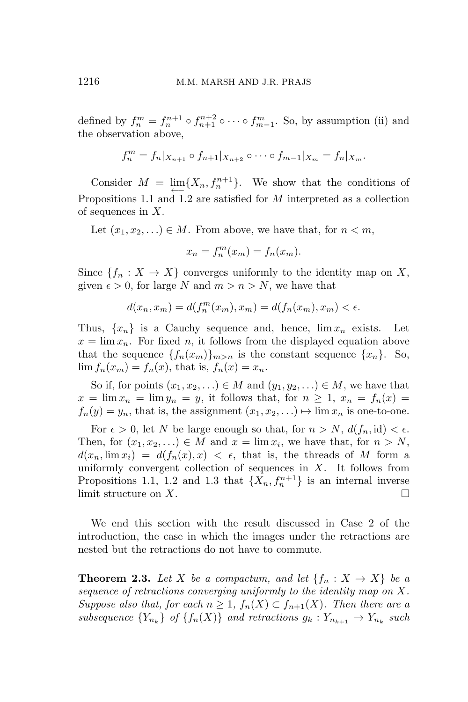defined by  $f_n^m = f_n^{n+1} \circ f_{n+1}^{n+2} \circ \cdots \circ f_{m-1}^m$ . So, by assumption (ii) and the observation above,

$$
f_n^m = f_n |_{X_{n+1}} \circ f_{n+1} |_{X_{n+2}} \circ \cdots \circ f_{m-1} |_{X_m} = f_n |_{X_m}.
$$

Consider  $M = \lim_{n \to \infty} \{X_n, f_n^{n+1}\}.$  We show that the conditions of *←−* Propositions 1.1 and 1.2 are satisfied for *M* interpreted as a collection of sequences in *X*.

Let  $(x_1, x_2, \ldots) \in M$ . From above, we have that, for  $n < m$ ,

$$
x_n = f_n^m(x_m) = f_n(x_m).
$$

Since  ${f_n : X \to X}$  converges uniformly to the identity map on X, given  $\epsilon > 0$ , for large N and  $m > n > N$ , we have that

$$
d(x_n,x_m)=d(f_n^m(x_m),x_m)=d(f_n(x_m),x_m)<\epsilon.
$$

Thus,  $\{x_n\}$  is a Cauchy sequence and, hence,  $\lim x_n$  exists. Let  $x = \lim x_n$ . For fixed *n*, it follows from the displayed equation above that the sequence  $\{f_n(x_m)\}_{m>n}$  is the constant sequence  $\{x_n\}$ . So,  $\lim f_n(x_m) = f_n(x)$ , that is,  $f_n(x) = x_n$ .

So if, for points  $(x_1, x_2, \ldots) \in M$  and  $(y_1, y_2, \ldots) \in M$ , we have that  $x = \lim x_n = \lim y_n = y$ , it follows that, for  $n \geq 1$ ,  $x_n = f_n(x) =$  $f_n(y) = y_n$ , that is, the assignment  $(x_1, x_2, \ldots) \mapsto \lim x_n$  is one-to-one.

For  $\epsilon > 0$ , let *N* be large enough so that, for  $n > N$ ,  $d(f_n, id) < \epsilon$ . Then, for  $(x_1, x_2, \ldots) \in M$  and  $x = \lim x_i$ , we have that, for  $n > N$ ,  $d(x_n, \lim x_i) = d(f_n(x), x) < \epsilon$ , that is, the threads of *M* form a uniformly convergent collection of sequences in *X*. It follows from Propositions 1.1, 1.2 and 1.3 that  $\{X_n, f_n^{n+1}\}\$ is an internal inverse limit structure on *X*.

We end this section with the result discussed in Case 2 of the introduction, the case in which the images under the retractions are nested but the retractions do not have to commute.

**Theorem 2.3.** Let X be a compactum, and let  $\{f_n : X \to X\}$  be a *sequence of retractions converging uniformly to the identity map on X. Suppose also that, for each*  $n \geq 1$ ,  $f_n(X) \subset f_{n+1}(X)$ *. Then there are a* subsequence  ${Y_{n_k}}$  of  ${f_n(X)}$  and retractions  $g_k: Y_{n_{k+1}} \to Y_{n_k}$  such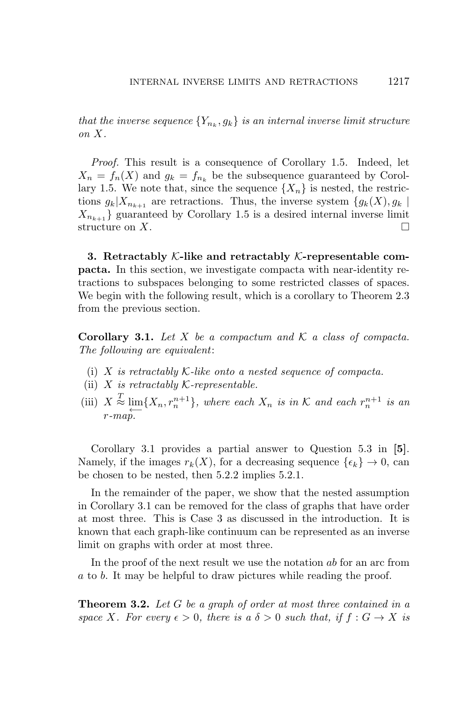*that the inverse sequence*  $\{Y_{n_k}, g_k\}$  *is an internal inverse limit structure on X.*

*Proof.* This result is a consequence of Corollary 1.5. Indeed, let  $X_n = f_n(X)$  and  $g_k = f_{n_k}$  be the subsequence guaranteed by Corollary 1.5. We note that, since the sequence  $\{X_n\}$  is nested, the restrictions  $g_k|X_{n_{k+1}}$  are retractions. Thus, the inverse system  $\{g_k(X), g_k\}$  $X_{n_{k+1}}$  guaranteed by Corollary 1.5 is a desired internal inverse limit structure on  $X$ .

**3. Retractably** *K***-like and retractably** *K***-representable compacta.** In this section, we investigate compacta with near-identity retractions to subspaces belonging to some restricted classes of spaces. We begin with the following result, which is a corollary to Theorem 2.3 from the previous section.

**Corollary 3.1.** *Let X be a compactum and K a class of compacta. The following are equivalent*:

- (i) *X is retractably K-like onto a nested sequence of compacta.*
- (ii) *X is retractably K-representable.*
- (iii)  $X \stackrel{T}{\approx} \varprojlim \{ X_n, r_n^{n+1} \},$  where each  $X_n$  *is in*  $K$  *and each*  $r_n^{n+1}$  *is an*  $r_n$  *n n is an r-map.*

Corollary 3.1 provides a partial answer to Question 5.3 in **[5]**. Namely, if the images  $r_k(X)$ , for a decreasing sequence  $\{\epsilon_k\} \to 0$ , can be chosen to be nested, then 5.2.2 implies 5.2.1.

In the remainder of the paper, we show that the nested assumption in Corollary 3.1 can be removed for the class of graphs that have order at most three. This is Case 3 as discussed in the introduction. It is known that each graph-like continuum can be represented as an inverse limit on graphs with order at most three.

In the proof of the next result we use the notation *ab* for an arc from *a* to *b*. It may be helpful to draw pictures while reading the proof.

**Theorem 3.2.** *Let G be a graph of order at most three contained in a space X. For every*  $\epsilon > 0$ *, there is a*  $\delta > 0$  *such that, if*  $f : G \to X$  *is*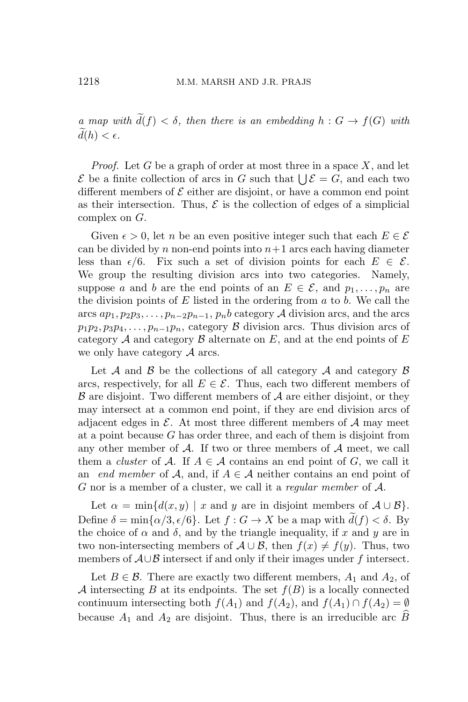*a* map with  $\tilde{d}(f) < \delta$ , then there is an embedding  $h : G \to f(G)$  with  $d(h) < \epsilon$ .

*Proof.* Let *G* be a graph of order at most three in a space *X*, and let  $\mathcal{E}$  be a finite collection of arcs in *G* such that  $\bigcup \mathcal{E} = G$ , and each two different members of *E* either are disjoint, or have a common end point as their intersection. Thus,  $\mathcal E$  is the collection of edges of a simplicial complex on *G*.

Given  $\epsilon > 0$ , let *n* be an even positive integer such that each  $E \in \mathcal{E}$ can be divided by  $n$  non-end points into  $n+1$  arcs each having diameter less than  $\epsilon/6$ . Fix such a set of division points for each  $E \in \mathcal{E}$ . We group the resulting division arcs into two categories. Namely, suppose *a* and *b* are the end points of an  $E \in \mathcal{E}$ , and  $p_1, \ldots, p_n$  are the division points of *E* listed in the ordering from *a* to *b*. We call the  $\arcsin{ap_1, p_2p_3, \ldots, p_{n-2}p_{n-1}, p_nb}$  category *A* division arcs, and the arcs  $p_1p_2, p_3p_4, \ldots, p_{n-1}p_n$ , category *B* division arcs. Thus division arcs of category *A* and category *B* alternate on *E*, and at the end points of *E* we only have category *A* arcs.

Let *A* and *B* be the collections of all category *A* and category *B* arcs, respectively, for all  $E \in \mathcal{E}$ . Thus, each two different members of *B* are disjoint. Two different members of *A* are either disjoint, or they may intersect at a common end point, if they are end division arcs of adjacent edges in  $\mathcal{E}$ . At most three different members of  $\mathcal{A}$  may meet at a point because *G* has order three, and each of them is disjoint from any other member of *A*. If two or three members of *A* meet, we call them a *cluster* of  $A$ . If  $A \in \mathcal{A}$  contains an end point of  $G$ , we call it an *end member* of *A*, and, if  $A \in \mathcal{A}$  neither contains an end point of *G* nor is a member of a cluster, we call it a *regular member* of *A*.

Let  $\alpha = \min\{d(x, y) \mid x \text{ and } y \text{ are in disjoint members of } A \cup B\}.$ Define  $\delta = \min\{\alpha/3, \epsilon/6\}$ . Let  $f: G \to X$  be a map with  $d(f) < \delta$ . By the choice of  $\alpha$  and  $\delta$ , and by the triangle inequality, if x and y are in two non-intersecting members of  $A \cup B$ , then  $f(x) \neq f(y)$ . Thus, two members of *A∪B* intersect if and only if their images under *f* intersect.

Let  $B \in \mathcal{B}$ . There are exactly two different members,  $A_1$  and  $A_2$ , of *A* intersecting *B* at its endpoints. The set *f*(*B*) is a locally connected continuum intersecting both  $f(A_1)$  and  $f(A_2)$ , and  $f(A_1) \cap f(A_2) = \emptyset$ because  $A_1$  and  $A_2$  are disjoint. Thus, there is an irreducible arc  $\widehat{B}$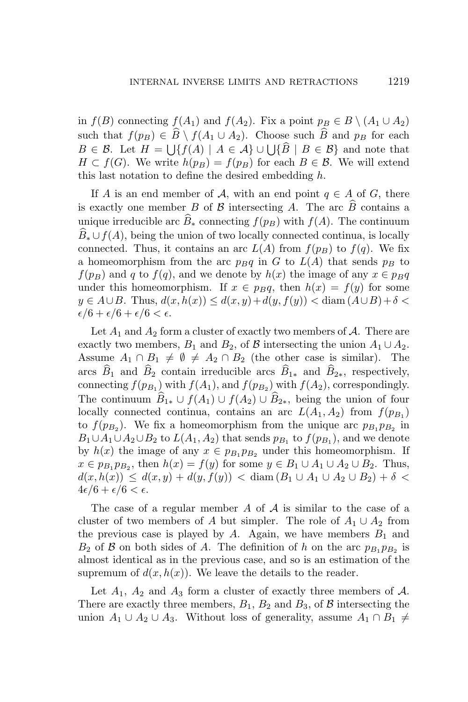in *f*(*B*) connecting *f*(*A*<sub>1</sub>) and *f*(*A*<sub>2</sub>). Fix a point  $p_B \in B \setminus (A_1 \cup A_2)$ such that  $f(p_B) \in \widehat{B} \setminus f(A_1 \cup A_2)$ . Choose such  $\widehat{B}$  and  $p_B$  for each  $B \in \mathcal{B}$ . Let  $H = \bigcup \{ f(A) \mid A \in \mathcal{A} \} \cup \bigcup \{ \widehat{B} \mid B \in \mathcal{B} \}$  and note that *H* ⊂ *f*(*G*). We write *h*(*p<sub>B</sub>*) = *f*(*p<sub>B</sub>*) for each *B* ∈ *B*. We will extend this last notation to define the desired embedding *h*.

If *A* is an end member of *A*, with an end point  $q \in A$  of *G*, there is exactly one member *B* of  $\beta$  intersecting *A*. The arc  $\widehat{B}$  contains a unique irreducible arc  $B_*$  connecting  $f(p_B)$  with  $f(A)$ . The continuum  $B_* \cup f(A)$ , being the union of two locally connected continua, is locally connected. Thus, it contains an arc  $L(A)$  from  $f(p_B)$  to  $f(q)$ . We fix a homeomorphism from the arc  $p_Bq$  in *G* to  $L(A)$  that sends  $p_B$  to  $f(p_B)$  and *q* to  $f(q)$ , and we denote by  $h(x)$  the image of any  $x \in p_Bq$ under this homeomorphism. If  $x \in p_Bq$ , then  $h(x) = f(y)$  for some *y* ∈ *A*∪*B*. Thus,  $d(x, h(x)) \le d(x, y) + d(y, f(y)) < \text{diam}(A \cup B) + \delta$  $\epsilon/6 + \epsilon/6 + \epsilon/6 < \epsilon$ .

Let  $A_1$  and  $A_2$  form a cluster of exactly two members of  $A$ . There are exactly two members,  $B_1$  and  $B_2$ , of  $\beta$  intersecting the union  $A_1 \cup A_2$ . Assume  $A_1 \cap B_1 \neq \emptyset \neq A_2 \cap B_2$  (the other case is similar). The arcs  $\widehat{B}_1$  and  $\widehat{B}_2$  contain irreducible arcs  $\widehat{B}_{1*}$  and  $\widehat{B}_{2*}$ , respectively, connecting  $f(p_{B_1})$  with  $f(A_1)$ , and  $f(p_{B_2})$  with  $f(A_2)$ , correspondingly. The continuum  $\widehat{B}_{1*} \cup f(A_1) \cup f(A_2) \cup \widehat{B}_{2*}$ , being the union of four locally connected continua, contains an arc  $L(A_1, A_2)$  from  $f(p_{B_1})$ to  $f(p_{B_2})$ . We fix a homeomorphism from the unique arc  $p_{B_1}p_{B_2}$  in  $B_1 \cup A_1 \cup A_2 \cup B_2$  to  $L(A_1, A_2)$  that sends  $p_{B_1}$  to  $f(p_{B_1})$ , and we denote by  $h(x)$  the image of any  $x \in p_{B_1} p_{B_2}$  under this homeomorphism. If *x* ∈  $p_{B_1} p_{B_2}$ , then  $h(x) = f(y)$  for some  $y \in B_1 \cup A_1 \cup A_2 \cup B_2$ . Thus,  $d(x, h(x)) \leq d(x, y) + d(y, f(y)) < \text{diam}(B_1 \cup A_1 \cup A_2 \cup B_2) + \delta$  $4\epsilon/6 + \epsilon/6 < \epsilon$ .

The case of a regular member *A* of *A* is similar to the case of a cluster of two members of *A* but simpler. The role of  $A_1 \cup A_2$  from the previous case is played by  $A$ . Again, we have members  $B_1$  and  $B_2$  of  $\beta$  on both sides of *A*. The definition of *h* on the arc  $p_{B_1}p_{B_2}$  is almost identical as in the previous case, and so is an estimation of the supremum of  $d(x, h(x))$ . We leave the details to the reader.

Let  $A_1$ ,  $A_2$  and  $A_3$  form a cluster of exactly three members of  $A$ . There are exactly three members,  $B_1$ ,  $B_2$  and  $B_3$ , of  $\beta$  intersecting the union  $A_1$  *∪*  $A_2$  *∪*  $A_3$ . Without loss of generality, assume  $A_1 \cap B_1 \neq$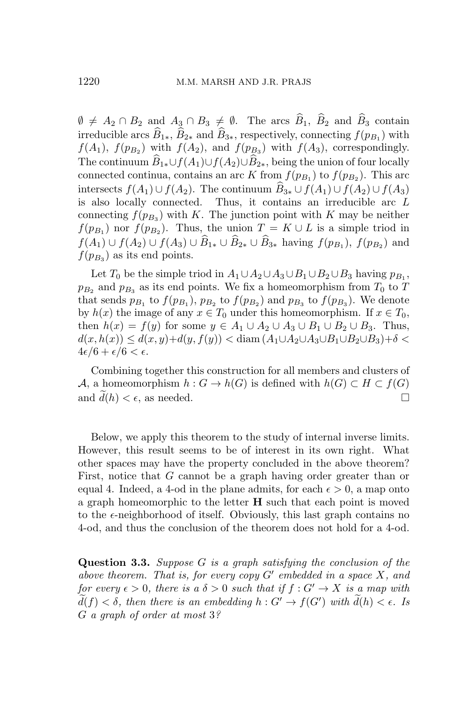$\emptyset \neq A_2 \cap B_2$  and  $A_3 \cap B_3 \neq \emptyset$ . The arcs  $\widehat{B}_1$ ,  $\widehat{B}_2$  and  $\widehat{B}_3$  contain irreducible arcs  $B_{1*}$ ,  $B_{2*}$  and  $B_{3*}$ , respectively, connecting  $f(p_{B_1})$  with  $f(A_1)$ ,  $f(p_{B_2})$  with  $f(A_2)$ , and  $f(p_{B_3})$  with  $f(A_3)$ , correspondingly. The continuum  $\widehat{B}_{1*} \cup f(A_1) \cup f(A_2) \cup \widehat{B}_{2*}$ , being the union of four locally connected continua, contains an arc *K* from  $f(p_{B_1})$  to  $f(p_{B_2})$ . This arc intersects *f*(*A*<sub>1</sub>) *∪ f*(*A*<sub>2</sub>). The continuum  $\widehat{B}_{3*}$  *∪ f*(*A*<sub>1</sub>) *∪ f*(*A*<sub>2</sub>) *∪ f*(*A*<sub>3</sub>) is also locally connected. Thus, it contains an irreducible arc *L* connecting  $f(p_{B_3})$  with *K*. The junction point with *K* may be neither  $f(p_{B_1})$  nor  $f(p_{B_2})$ . Thus, the union  $T = K \cup L$  is a simple triod in  $f(A_1) \cup f(A_2) \cup f(A_3) \cup B_{1*} \cup B_{2*} \cup B_{3*}$  having  $f(p_{B_1}), f(p_{B_2})$  and  $f(p_{B_3})$  as its end points.

Let  $T_0$  be the simple triod in  $A_1 \cup A_2 \cup A_3 \cup B_1 \cup B_2 \cup B_3$  having  $p_{B_1}$ ,  $p_{B_2}$  and  $p_{B_3}$  as its end points. We fix a homeomorphism from  $T_0$  to  $T$ that sends  $p_{B_1}$  to  $f(p_{B_1}), p_{B_2}$  to  $f(p_{B_2})$  and  $p_{B_3}$  to  $f(p_{B_3})$ . We denote by  $h(x)$  the image of any  $x \in T_0$  under this homeomorphism. If  $x \in T_0$ , then  $h(x) = f(y)$  for some  $y \in A_1 \cup A_2 \cup A_3 \cup B_1 \cup B_2 \cup B_3$ . Thus,  $d(x, h(x)) \leq d(x, y) + d(y, f(y)) < \text{diam}(A_1 \cup A_2 \cup A_3 \cup B_1 \cup B_2 \cup B_3) + \delta$  $4\epsilon/6 + \epsilon/6 < \epsilon$ .

Combining together this construction for all members and clusters of *A*, a homeomorphism  $h: G \to h(G)$  is defined with  $h(G) \subset H \subset f(G)$ and  $d(h) < \epsilon$ , as needed.

Below, we apply this theorem to the study of internal inverse limits. However, this result seems to be of interest in its own right. What other spaces may have the property concluded in the above theorem? First, notice that *G* cannot be a graph having order greater than or equal 4. Indeed, a 4-od in the plane admits, for each  $\epsilon > 0$ , a map onto a graph homeomorphic to the letter **H** such that each point is moved to the  $\epsilon$ -neighborhood of itself. Obviously, this last graph contains no 4-od, and thus the conclusion of the theorem does not hold for a 4-od.

**Question 3.3.** *Suppose G is a graph satisfying the conclusion of the above theorem. That is, for every copy G′ embedded in a space X, and for every*  $\epsilon > 0$ *, there is a*  $\delta > 0$  *such that if*  $f : G' \to X$  *is a map with*  $d(f) < \delta$ , then there is an embedding  $h: G' \to f(G')$  with  $d(h) < \epsilon$ . Is *G a graph of order at most* 3*?*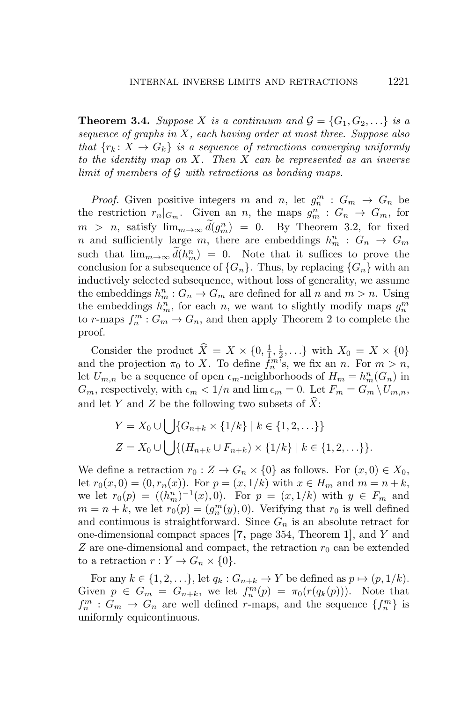**Theorem 3.4.** *Suppose X is a continuum and*  $\mathcal{G} = \{G_1, G_2, \ldots\}$  *is a sequence of graphs in X, each having order at most three. Suppose also that*  $\{r_k : X \to G_k\}$  *is a sequence of retractions converging uniformly to the identity map on X. Then X can be represented as an inverse limit of members of G with retractions as bonding maps.*

*Proof.* Given positive integers *m* and *n*, let  $g_n^m : G_m \to G_n$  be the restriction  $r_n|_{G_m}$ . Given an *n*, the maps  $g_m^n : G_n \to G_m$ , for  $m > n$ , satisfy  $\lim_{m \to \infty} d(g_m^n) = 0$ . By Theorem 3.2, for fixed *n* and sufficiently large *m*, there are embeddings  $h_m^n$  :  $G_n \rightarrow G_m$ such that  $\lim_{m\to\infty} d(h_m^n) = 0$ . Note that it suffices to prove the conclusion for a subsequence of  ${G_n}$ . Thus, by replacing  ${G_n}$  with an inductively selected subsequence, without loss of generality, we assume the embeddings  $h_m^n: G_n \to G_m$  are defined for all *n* and  $m > n$ . Using the embeddings  $h_m^n$ , for each *n*, we want to slightly modify maps  $g_n^m$ to *r*-maps  $f_n^m : G_m \to G_n$ , and then apply Theorem 2 to complete the proof.

Consider the product  $\hat{X} = X \times \{0, \frac{1}{1}, \frac{1}{2}, \ldots\}$  with  $X_0 = X \times \{0\}$ and the projection  $\pi_0$  to *X*. To define  $\hat{f}_n^{m\bar{\imath}}$ , we fix an *n*. For  $m > n$ , let  $U_{m,n}$  be a sequence of open  $\epsilon_m$ -neighborhoods of  $H_m = h_m^n(G_n)$  in *G*<sub>*m*</sub>, respectively, with  $\epsilon_m < 1/n$  and  $\lim \epsilon_m = 0$ . Let  $F_m = G_m \setminus U_{m,n}$ , and let *Y* and *Z* be the following two subsets of *X*b:

$$
Y = X_0 \cup \bigcup \{ G_{n+k} \times \{ 1/k \} \mid k \in \{ 1, 2, \ldots \} \}
$$
  

$$
Z = X_0 \cup \bigcup \{ (H_{n+k} \cup F_{n+k}) \times \{ 1/k \} \mid k \in \{ 1, 2, \ldots \} \}.
$$

We define a retraction  $r_0 : Z \to G_n \times \{0\}$  as follows. For  $(x, 0) \in X_0$ , let  $r_0(x, 0) = (0, r_n(x))$ . For  $p = (x, 1/k)$  with  $x \in H_m$  and  $m = n + k$ , we let  $r_0(p) = ((h_m^n)^{-1}(x), 0)$ . For  $p = (x, 1/k)$  with  $y \in F_m$  and  $m = n + k$ , we let  $r_0(p) = (g_n^m(y), 0)$ . Verifying that  $r_0$  is well defined and continuous is straightforward. Since *G<sup>n</sup>* is an absolute retract for one-dimensional compact spaces **[7,** page 354, Theorem 1**]**, and *Y* and *Z* are one-dimensional and compact, the retraction  $r_0$  can be extended to a retraction  $r: Y \to G_n \times \{0\}.$ 

For any  $k \in \{1, 2, \ldots\}$ , let  $q_k : G_{n+k} \to Y$  be defined as  $p \mapsto (p, 1/k)$ . Given  $p \in G_m = G_{n+k}$ , we let  $f_n^m(p) = \pi_0(r(q_k(p)))$ . Note that  $f_n^m : G_m \to G_n$  are well defined *r*-maps, and the sequence  $\{f_n^m\}$  is uniformly equicontinuous.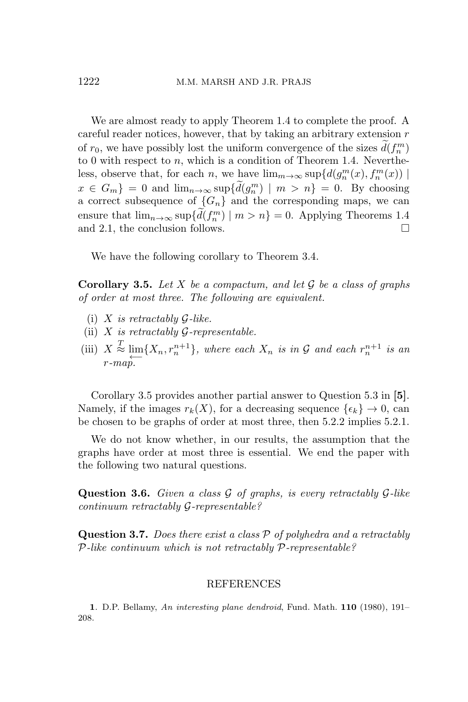We are almost ready to apply Theorem 1.4 to complete the proof. A careful reader notices, however, that by taking an arbitrary extension *r* of  $r_0$ , we have possibly lost the uniform convergence of the sizes  $\tilde{d}(f_n^m)$ to 0 with respect to *n*, which is a condition of Theorem 1.4. Nevertheless, observe that, for each *n*, we have  $\lim_{m\to\infty} \sup \{d(g_n^m(x), f_n^m(x))\}$  $x \in G_m$  = 0 and  $\lim_{n \to \infty} \sup \{d(g_n^m) \mid m > n\} = 0$ . By choosing a correct subsequence of  ${G_n}$  and the corresponding maps, we can ensure that  $\lim_{n\to\infty} \sup \{d(f_n^m) \mid m > n\} = 0$ . Applying Theorems 1.4 and 2.1, the conclusion follows.  $\Box$ 

We have the following corollary to Theorem 3.4.

**Corollary 3.5.** *Let X be a compactum, and let G be a class of graphs of order at most three. The following are equivalent.*

- (i) *X is retractably G-like.*
- (ii) *X is retractably G-representable.*
- (iii)  $X \stackrel{T}{\approx} \lim\{X_n, r_n^{n+1}\},\$  where each  $X_n$  *is in*  $\mathcal G$  *and each*  $r_n^{n+1}$  *is an ←− r-map.*

Corollary 3.5 provides another partial answer to Question 5.3 in **[5]**. Namely, if the images  $r_k(X)$ , for a decreasing sequence  $\{\epsilon_k\} \to 0$ , can be chosen to be graphs of order at most three, then 5.2.2 implies 5.2.1.

We do not know whether, in our results, the assumption that the graphs have order at most three is essential. We end the paper with the following two natural questions.

**Question 3.6.** *Given a class G of graphs, is every retractably G-like continuum retractably G-representable?*

**Question 3.7.** *Does there exist a class P of polyhedra and a retractably P-like continuum which is not retractably P-representable?*

## REFERENCES

**1**. D.P. Bellamy, *An interesting plane dendroid*, Fund. Math. **110** (1980), 191– 208.